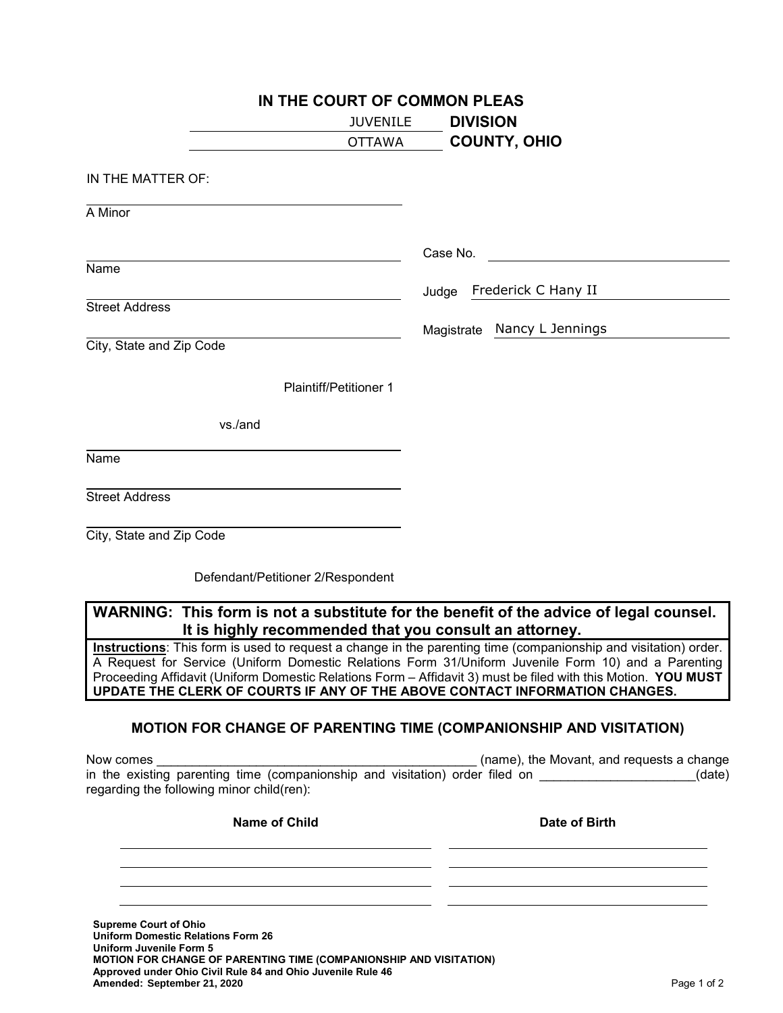| IN THE COURT OF COMMON PLEAS                                                                                                                     |                                |
|--------------------------------------------------------------------------------------------------------------------------------------------------|--------------------------------|
| <b>JUVENILE</b>                                                                                                                                  | <b>DIVISION</b>                |
| <b>OTTAWA</b>                                                                                                                                    | <b>COUNTY, OHIO</b>            |
| IN THE MATTER OF:                                                                                                                                |                                |
| A Minor                                                                                                                                          |                                |
|                                                                                                                                                  | Case No.                       |
| Name                                                                                                                                             | Frederick C Hany II<br>Judge   |
| <b>Street Address</b>                                                                                                                            |                                |
|                                                                                                                                                  | Nancy L Jennings<br>Magistrate |
| City, State and Zip Code                                                                                                                         |                                |
| <b>Plaintiff/Petitioner 1</b>                                                                                                                    |                                |
| vs./and                                                                                                                                          |                                |
| Name                                                                                                                                             |                                |
| <b>Street Address</b>                                                                                                                            |                                |
| City, State and Zip Code                                                                                                                         |                                |
| Defendant/Petitioner 2/Respondent                                                                                                                |                                |
| WARNING: This form is not a substitute for the benefit of the advice of legal counsel.<br>It is highly recommended that you consult an attorney. |                                |

**Instructions**: This form is used to request a change in the parenting time (companionship and visitation) order. A Request for Service (Uniform Domestic Relations Form 31/Uniform Juvenile Form 10) and a Parenting Proceeding Affidavit (Uniform Domestic Relations Form – Affidavit 3) must be filed with this Motion. **YOU MUST UPDATE THE CLERK OF COURTS IF ANY OF THE ABOVE CONTACT INFORMATION CHANGES.**

## **MOTION FOR CHANGE OF PARENTING TIME (COMPANIONSHIP AND VISITATION)**

| Now comes                                                                    | (name), the Movant, and requests a change |
|------------------------------------------------------------------------------|-------------------------------------------|
| in the existing parenting time (companionship and visitation) order filed on | (date)                                    |
| regarding the following minor child(ren):                                    |                                           |

| <b>Name of Child</b>                                                      | Date of Birth |
|---------------------------------------------------------------------------|---------------|
|                                                                           |               |
|                                                                           |               |
|                                                                           |               |
| <b>Supreme Court of Ohio</b><br><b>Iniform Domestic Polations Form 26</b> |               |

**Uniform Domestic Relations Form 26 Uniform Juvenile Form 5 MOTION FOR CHANGE OF PARENTING TIME (COMPANIONSHIP AND VISITATION) Approved under Ohio Civil Rule 84 and Ohio Juvenile Rule 46 Amended:** Page 1 of 2 **September 21, 2020**